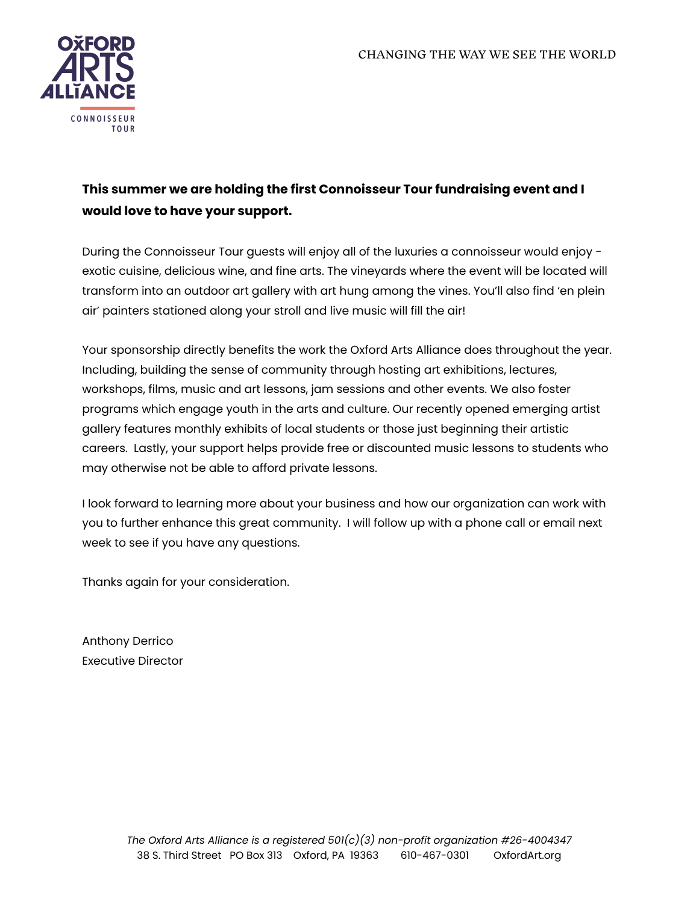

# **This summer we are holding the first Connoisseur Tour fundraising event and I would love to have your support.**

During the Connoisseur Tour guests will enjoy all of the luxuries a connoisseur would enjoy exotic cuisine, delicious wine, and fine arts. The vineyards where the event will be located will transform into an outdoor art gallery with art hung among the vines. You'll also find 'en plein air' painters stationed along your stroll and live music will fill the air!

Your sponsorship directly benefits the work the Oxford Arts Alliance does throughout the year. Including, building the sense of community through hosting art exhibitions, lectures, workshops, films, music and art lessons, jam sessions and other events. We also foster programs which engage youth in the arts and culture. Our recently opened emerging artist gallery features monthly exhibits of local students or those just beginning their artistic careers. Lastly, your support helps provide free or discounted music lessons to students who may otherwise not be able to afford private lessons.

I look forward to learning more about your business and how our organization can work with you to further enhance this great community. I will follow up with a phone call or email next week to see if you have any questions.

Thanks again for your consideration.

Anthony Derrico Executive Director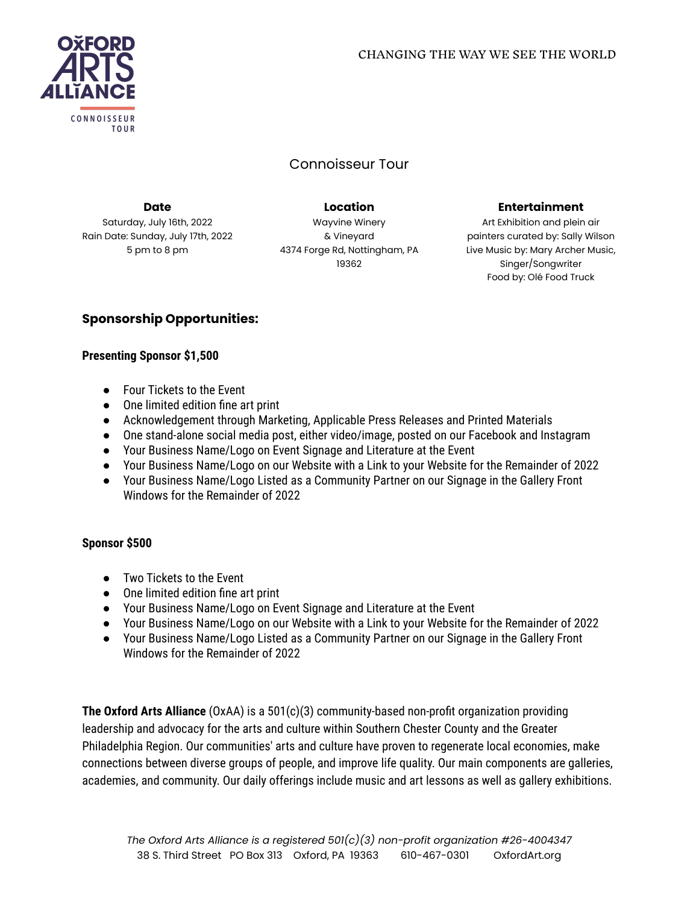

## Connoisseur Tour

**Date** Saturday, July 16th, 2022 Rain Date: Sunday, July 17th, 2022 5 pm to 8 pm

Wayvine Winery & Vineyard 4374 Forge Rd, Nottingham, PA 19362

**Location**

#### **Entertainment**

Art Exhibition and plein air painters curated by: Sally Wilson Live Music by: Mary Archer Music, Singer/Songwriter Food by: Olé Food Truck

## **Sponsorship Opportunities:**

#### **Presenting Sponsor \$1,500**

- Four Tickets to the Event
- One limited edition fine art print
- Acknowledgement through Marketing, Applicable Press Releases and Printed Materials
- One stand-alone social media post, either video/image, posted on our Facebook and Instagram
- Your Business Name/Logo on Event Signage and Literature at the Event
- Your Business Name/Logo on our Website with a Link to your Website for the Remainder of 2022
- Your Business Name/Logo Listed as a Community Partner on our Signage in the Gallery Front Windows for the Remainder of 2022

#### **Sponsor \$500**

- Two Tickets to the Event
- One limited edition fine art print
- Your Business Name/Logo on Event Signage and Literature at the Event
- Your Business Name/Logo on our Website with a Link to your Website for the Remainder of 2022
- Your Business Name/Logo Listed as a Community Partner on our Signage in the Gallery Front Windows for the Remainder of 2022

**The Oxford Arts Alliance** (OxAA) is a 501(c)(3) community-based non-profit organization providing leadership and advocacy for the arts and culture within Southern Chester County and the Greater Philadelphia Region. Our communities' arts and culture have proven to regenerate local economies, make connections between diverse groups of people, and improve life quality. Our main components are galleries, academies, and community. Our daily offerings include music and art lessons as well as gallery exhibitions.